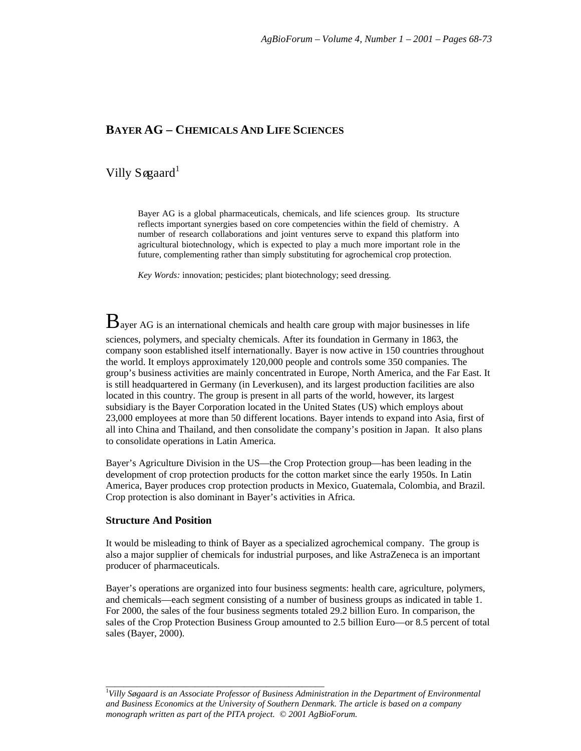## **BAYER AG – CHEMICALS AND LIFE SCIENCES**

# Villy Søgaard<sup>1</sup>

Bayer AG is a global pharmaceuticals, chemicals, and life sciences group. Its structure reflects important synergies based on core competencies within the field of chemistry. A number of research collaborations and joint ventures serve to expand this platform into agricultural biotechnology, which is expected to play a much more important role in the future, complementing rather than simply substituting for agrochemical crop protection.

*Key Words:* innovation; pesticides; plant biotechnology; seed dressing.

 $B$ ayer AG is an international chemicals and health care group with major businesses in life sciences, polymers, and specialty chemicals. After its foundation in Germany in 1863, the company soon established itself internationally. Bayer is now active in 150 countries throughout the world. It employs approximately 120,000 people and controls some 350 companies. The group's business activities are mainly concentrated in Europe, North America, and the Far East. It is still headquartered in Germany (in Leverkusen), and its largest production facilities are also located in this country. The group is present in all parts of the world, however, its largest subsidiary is the Bayer Corporation located in the United States (US) which employs about 23,000 employees at more than 50 different locations. Bayer intends to expand into Asia, first of all into China and Thailand, and then consolidate the company's position in Japan. It also plans to consolidate operations in Latin America.

Bayer's Agriculture Division in the US—the Crop Protection group—has been leading in the development of crop protection products for the cotton market since the early 1950s. In Latin America, Bayer produces crop protection products in Mexico, Guatemala, Colombia, and Brazil. Crop protection is also dominant in Bayer's activities in Africa.

#### **Structure And Position**

It would be misleading to think of Bayer as a specialized agrochemical company. The group is also a major supplier of chemicals for industrial purposes, and like AstraZeneca is an important producer of pharmaceuticals.

Bayer's operations are organized into four business segments: health care, agriculture, polymers, and chemicals—each segment consisting of a number of business groups as indicated in table 1. For 2000, the sales of the four business segments totaled 29.2 billion Euro. In comparison, the sales of the Crop Protection Business Group amounted to 2.5 billion Euro—or 8.5 percent of total sales (Bayer, 2000).

\_\_\_\_\_\_\_\_\_\_\_\_\_\_\_\_\_\_\_\_\_\_\_\_\_\_\_\_\_\_\_\_\_\_\_\_\_\_\_\_\_\_\_\_\_\_\_\_\_

<sup>1</sup> *Villy Søgaard is an Associate Professor of Business Administration in the Department of Environmental and Business Economics at the University of Southern Denmark. The article is based on a company monograph written as part of the PITA project. © 2001 AgBioForum.*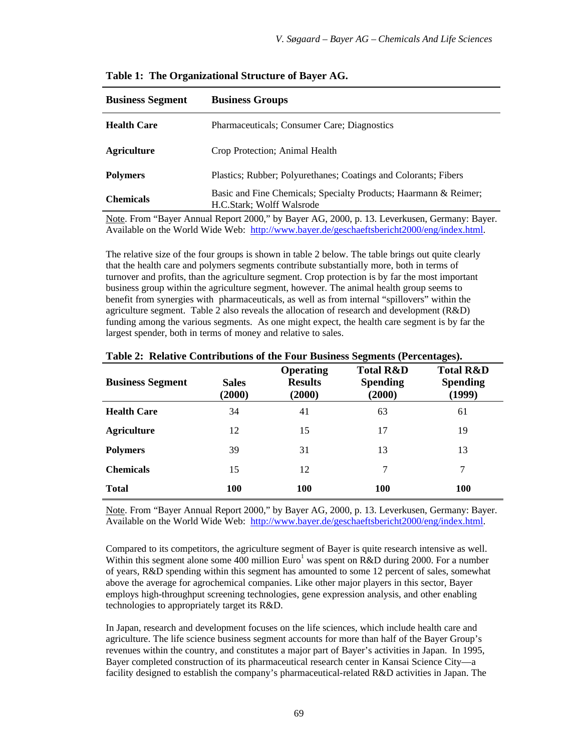| <b>Business Segment</b> | <b>Business Groups</b>                                                                        |  |  |
|-------------------------|-----------------------------------------------------------------------------------------------|--|--|
| <b>Health Care</b>      | Pharmaceuticals; Consumer Care; Diagnostics                                                   |  |  |
| <b>Agriculture</b>      | Crop Protection; Animal Health                                                                |  |  |
| <b>Polymers</b>         | Plastics; Rubber; Polyurethanes; Coatings and Colorants; Fibers                               |  |  |
| <b>Chemicals</b>        | Basic and Fine Chemicals; Specialty Products; Haarmann & Reimer;<br>H.C.Stark; Wolff Walsrode |  |  |

**Table 1: The Organizational Structure of Bayer AG.**

Note. From "Bayer Annual Report 2000," by Bayer AG, 2000, p. 13. Leverkusen, Germany: Bayer. Available on the World Wide Web: http://www.bayer.de/geschaeftsbericht2000/eng/index.html.

The relative size of the four groups is shown in table 2 below. The table brings out quite clearly that the health care and polymers segments contribute substantially more, both in terms of turnover and profits, than the agriculture segment. Crop protection is by far the most important business group within the agriculture segment, however. The animal health group seems to benefit from synergies with pharmaceuticals, as well as from internal "spillovers" within the agriculture segment. Table 2 also reveals the allocation of research and development (R&D) funding among the various segments. As one might expect, the health care segment is by far the largest spender, both in terms of money and relative to sales.

| <b>Business Segment</b> | <b>Sales</b><br>(2000) | <b>Operating</b><br><b>Results</b><br>(2000) | <b>Total R&amp;D</b><br><b>Spending</b><br>(2000) | <b>Total R&amp;D</b><br><b>Spending</b><br>(1999) |
|-------------------------|------------------------|----------------------------------------------|---------------------------------------------------|---------------------------------------------------|
| <b>Health Care</b>      | 34                     | 41                                           | 63                                                | 61                                                |
| <b>Agriculture</b>      | 12                     | 15                                           | 17                                                | 19                                                |
| <b>Polymers</b>         | 39                     | 31                                           | 13                                                | 13                                                |
| <b>Chemicals</b>        | 15                     | 12                                           | 7                                                 | 7                                                 |
| <b>Total</b>            | 100                    | 100                                          | <b>100</b>                                        | <b>100</b>                                        |

**Table 2: Relative Contributions of the Four Business Segments (Percentages).**

Note. From "Bayer Annual Report 2000," by Bayer AG, 2000, p. 13. Leverkusen, Germany: Bayer. Available on the World Wide Web: http://www.bayer.de/geschaeftsbericht2000/eng/index.html.

Compared to its competitors, the agriculture segment of Bayer is quite research intensive as well. Within this segment alone some 400 million  $Euro<sup>1</sup>$  was spent on R&D during 2000. For a number of years, R&D spending within this segment has amounted to some 12 percent of sales, somewhat above the average for agrochemical companies. Like other major players in this sector, Bayer employs high-throughput screening technologies, gene expression analysis, and other enabling technologies to appropriately target its R&D.

In Japan, research and development focuses on the life sciences, which include health care and agriculture. The life science business segment accounts for more than half of the Bayer Group's revenues within the country, and constitutes a major part of Bayer's activities in Japan. In 1995, Bayer completed construction of its pharmaceutical research center in Kansai Science City—a facility designed to establish the company's pharmaceutical-related R&D activities in Japan. The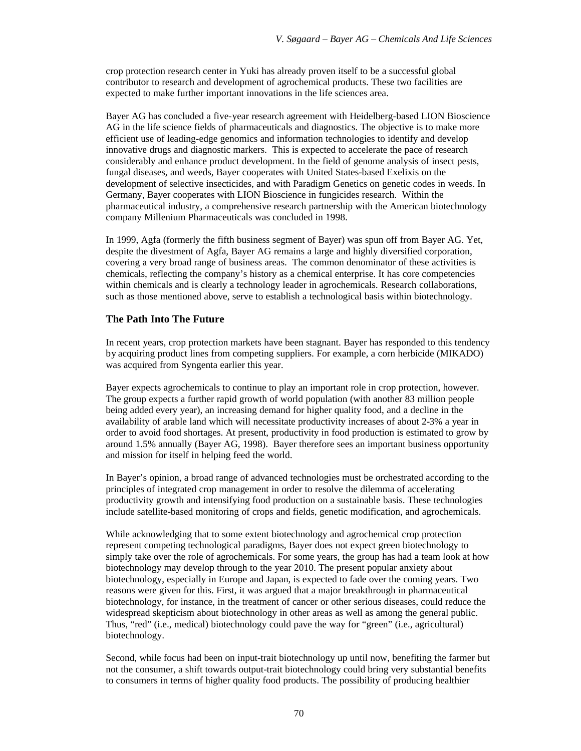crop protection research center in Yuki has already proven itself to be a successful global contributor to research and development of agrochemical products. These two facilities are expected to make further important innovations in the life sciences area.

Bayer AG has concluded a five-year research agreement with Heidelberg-based LION Bioscience AG in the life science fields of pharmaceuticals and diagnostics. The objective is to make more efficient use of leading-edge genomics and information technologies to identify and develop innovative drugs and diagnostic markers. This is expected to accelerate the pace of research considerably and enhance product development. In the field of genome analysis of insect pests, fungal diseases, and weeds, Bayer cooperates with United States-based Exelixis on the development of selective insecticides, and with Paradigm Genetics on genetic codes in weeds. In Germany, Bayer cooperates with LION Bioscience in fungicides research. Within the pharmaceutical industry, a comprehensive research partnership with the American biotechnology company Millenium Pharmaceuticals was concluded in 1998.

In 1999, Agfa (formerly the fifth business segment of Bayer) was spun off from Bayer AG. Yet, despite the divestment of Agfa, Bayer AG remains a large and highly diversified corporation, covering a very broad range of business areas. The common denominator of these activities is chemicals, reflecting the company's history as a chemical enterprise. It has core competencies within chemicals and is clearly a technology leader in agrochemicals. Research collaborations, such as those mentioned above, serve to establish a technological basis within biotechnology.

#### **The Path Into The Future**

In recent years, crop protection markets have been stagnant. Bayer has responded to this tendency by acquiring product lines from competing suppliers. For example, a corn herbicide (MIKADO) was acquired from Syngenta earlier this year.

Bayer expects agrochemicals to continue to play an important role in crop protection, however. The group expects a further rapid growth of world population (with another 83 million people being added every year), an increasing demand for higher quality food, and a decline in the availability of arable land which will necessitate productivity increases of about 2-3% a year in order to avoid food shortages. At present, productivity in food production is estimated to grow by around 1.5% annually (Bayer AG, 1998). Bayer therefore sees an important business opportunity and mission for itself in helping feed the world.

In Bayer's opinion, a broad range of advanced technologies must be orchestrated according to the principles of integrated crop management in order to resolve the dilemma of accelerating productivity growth and intensifying food production on a sustainable basis. These technologies include satellite-based monitoring of crops and fields, genetic modification, and agrochemicals.

While acknowledging that to some extent biotechnology and agrochemical crop protection represent competing technological paradigms, Bayer does not expect green biotechnology to simply take over the role of agrochemicals. For some years, the group has had a team look at how biotechnology may develop through to the year 2010. The present popular anxiety about biotechnology, especially in Europe and Japan, is expected to fade over the coming years. Two reasons were given for this. First, it was argued that a major breakthrough in pharmaceutical biotechnology, for instance, in the treatment of cancer or other serious diseases, could reduce the widespread skepticism about biotechnology in other areas as well as among the general public. Thus, "red" (i.e., medical) biotechnology could pave the way for "green" (i.e., agricultural) biotechnology.

Second, while focus had been on input-trait biotechnology up until now, benefiting the farmer but not the consumer, a shift towards output-trait biotechnology could bring very substantial benefits to consumers in terms of higher quality food products. The possibility of producing healthier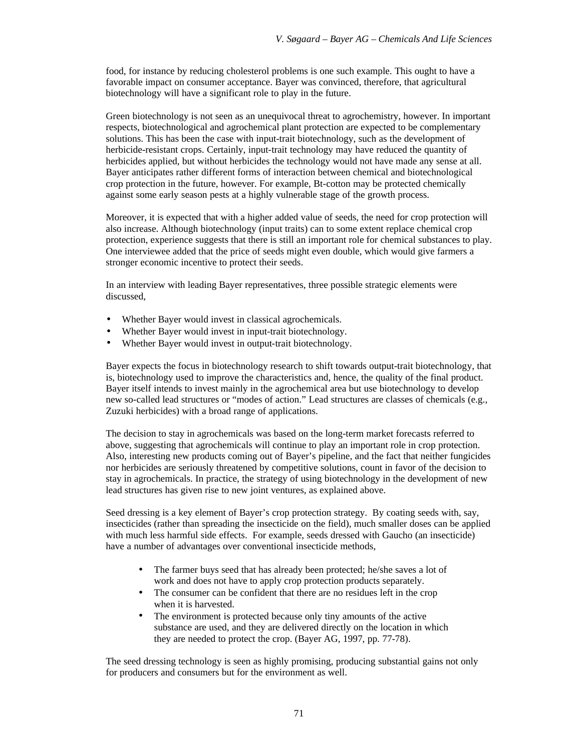food, for instance by reducing cholesterol problems is one such example. This ought to have a favorable impact on consumer acceptance. Bayer was convinced, therefore, that agricultural biotechnology will have a significant role to play in the future.

Green biotechnology is not seen as an unequivocal threat to agrochemistry, however. In important respects, biotechnological and agrochemical plant protection are expected to be complementary solutions. This has been the case with input-trait biotechnology, such as the development of herbicide-resistant crops. Certainly, input-trait technology may have reduced the quantity of herbicides applied, but without herbicides the technology would not have made any sense at all. Bayer anticipates rather different forms of interaction between chemical and biotechnological crop protection in the future, however. For example, Bt-cotton may be protected chemically against some early season pests at a highly vulnerable stage of the growth process.

Moreover, it is expected that with a higher added value of seeds, the need for crop protection will also increase. Although biotechnology (input traits) can to some extent replace chemical crop protection, experience suggests that there is still an important role for chemical substances to play. One interviewee added that the price of seeds might even double, which would give farmers a stronger economic incentive to protect their seeds.

In an interview with leading Bayer representatives, three possible strategic elements were discussed,

- Whether Bayer would invest in classical agrochemicals.
- Whether Bayer would invest in input-trait biotechnology.
- Whether Bayer would invest in output-trait biotechnology.

Bayer expects the focus in biotechnology research to shift towards output-trait biotechnology, that is, biotechnology used to improve the characteristics and, hence, the quality of the final product. Bayer itself intends to invest mainly in the agrochemical area but use biotechnology to develop new so-called lead structures or "modes of action." Lead structures are classes of chemicals (e.g., Zuzuki herbicides) with a broad range of applications.

The decision to stay in agrochemicals was based on the long-term market forecasts referred to above, suggesting that agrochemicals will continue to play an important role in crop protection. Also, interesting new products coming out of Bayer's pipeline, and the fact that neither fungicides nor herbicides are seriously threatened by competitive solutions, count in favor of the decision to stay in agrochemicals. In practice, the strategy of using biotechnology in the development of new lead structures has given rise to new joint ventures, as explained above.

Seed dressing is a key element of Bayer's crop protection strategy. By coating seeds with, say, insecticides (rather than spreading the insecticide on the field), much smaller doses can be applied with much less harmful side effects. For example, seeds dressed with Gaucho (an insecticide) have a number of advantages over conventional insecticide methods,

- The farmer buys seed that has already been protected; he/she saves a lot of work and does not have to apply crop protection products separately.
- The consumer can be confident that there are no residues left in the crop when it is harvested.
- The environment is protected because only tiny amounts of the active substance are used, and they are delivered directly on the location in which they are needed to protect the crop. (Bayer AG, 1997, pp. 77-78).

The seed dressing technology is seen as highly promising, producing substantial gains not only for producers and consumers but for the environment as well.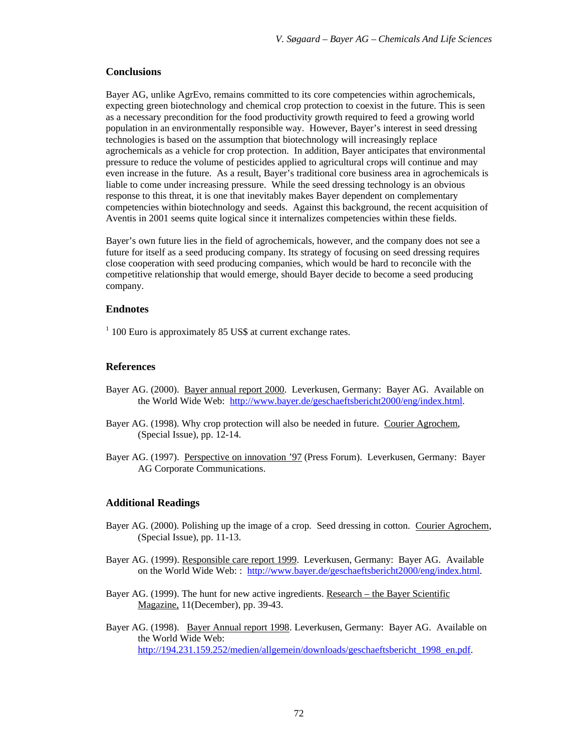#### **Conclusions**

Bayer AG, unlike AgrEvo, remains committed to its core competencies within agrochemicals, expecting green biotechnology and chemical crop protection to coexist in the future. This is seen as a necessary precondition for the food productivity growth required to feed a growing world population in an environmentally responsible way. However, Bayer's interest in seed dressing technologies is based on the assumption that biotechnology will increasingly replace agrochemicals as a vehicle for crop protection. In addition, Bayer anticipates that environmental pressure to reduce the volume of pesticides applied to agricultural crops will continue and may even increase in the future. As a result, Bayer's traditional core business area in agrochemicals is liable to come under increasing pressure. While the seed dressing technology is an obvious response to this threat, it is one that inevitably makes Bayer dependent on complementary competencies within biotechnology and seeds. Against this background, the recent acquisition of Aventis in 2001 seems quite logical since it internalizes competencies within these fields.

Bayer's own future lies in the field of agrochemicals, however, and the company does not see a future for itself as a seed producing company. Its strategy of focusing on seed dressing requires close cooperation with seed producing companies, which would be hard to reconcile with the competitive relationship that would emerge, should Bayer decide to become a seed producing company.

## **Endnotes**

<sup>1</sup> 100 Euro is approximately 85 US\$ at current exchange rates.

### **References**

- Bayer AG. (2000). Bayer annual report 2000. Leverkusen, Germany: Bayer AG. Available on the World Wide Web: http://www.bayer.de/geschaeftsbericht2000/eng/index.html.
- Bayer AG. (1998). Why crop protection will also be needed in future. Courier Agrochem, (Special Issue), pp. 12-14.
- Bayer AG. (1997). Perspective on innovation '97 (Press Forum). Leverkusen, Germany: Bayer AG Corporate Communications.

#### **Additional Readings**

- Bayer AG. (2000). Polishing up the image of a crop. Seed dressing in cotton. Courier Agrochem, (Special Issue), pp. 11-13.
- Bayer AG. (1999). Responsible care report 1999. Leverkusen, Germany: Bayer AG. Available on the World Wide Web: : http://www.bayer.de/geschaeftsbericht2000/eng/index.html.
- Bayer AG. (1999). The hunt for new active ingredients. Research the Bayer Scientific Magazine, 11(December), pp. 39-43.
- Bayer AG. (1998). Bayer Annual report 1998. Leverkusen, Germany: Bayer AG. Available on the World Wide Web: http://194.231.159.252/medien/allgemein/downloads/geschaeftsbericht\_1998\_en.pdf.